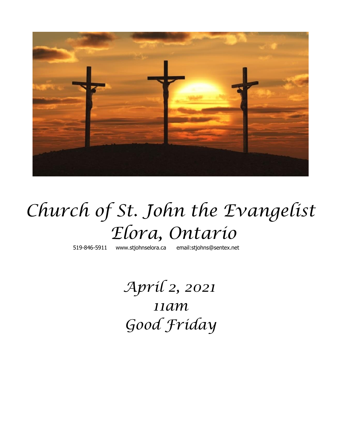

# *Church of St. John the Evangelist Elora, Ontario*

519-846-5911 [www.stjohnselora.ca email:stjohns@sentex.net](http://www.stjohnselora.ca%20%20%20%20%20%20email:stjohns@sentex.net)

 *April 2, 2021 11am Good Friday*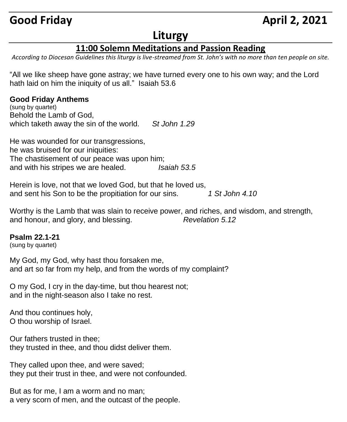# **Good Friday April 2, 2021**

## **Liturgy**

### **11:00 Solemn Meditations and Passion Reading**

*According to Diocesan Guidelines this liturgy is live-streamed from St. John's with no more than ten people on site.*

"All we like sheep have gone astray; we have turned every one to his own way; and the Lord hath laid on him the iniquity of us all." Isaiah 53.6

#### **Good Friday Anthems**

(sung by quartet) Behold the Lamb of God, which taketh away the sin of the world. *St John 1.29*

He was wounded for our transgressions, he was bruised for our iniquities: The chastisement of our peace was upon him; and with his stripes we are healed. *Isaiah 53.5*

Herein is love, not that we loved God, but that he loved us, and sent his Son to be the propitiation for our sins. *1 St John 4.10*

Worthy is the Lamb that was slain to receive power, and riches, and wisdom, and strength, and honour, and glory, and blessing. *Revelation 5.12*

#### **Psalm 22.1-21**

(sung by quartet)

My God, my God, why hast thou forsaken me, and art so far from my help, and from the words of my complaint?

O my God, I cry in the day-time, but thou hearest not; and in the night-season also I take no rest.

And thou continues holy, O thou worship of Israel.

Our fathers trusted in thee; they trusted in thee, and thou didst deliver them.

They called upon thee, and were saved; they put their trust in thee, and were not confounded.

But as for me, I am a worm and no man; a very scorn of men, and the outcast of the people.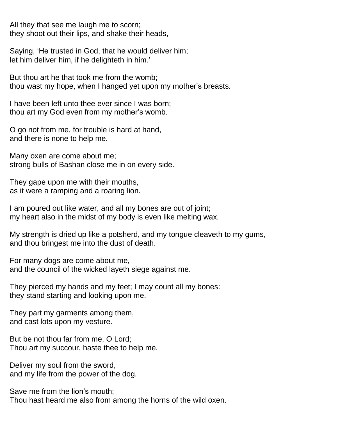All they that see me laugh me to scorn; they shoot out their lips, and shake their heads,

Saying, 'He trusted in God, that he would deliver him; let him deliver him, if he delighteth in him.'

But thou art he that took me from the womb; thou wast my hope, when I hanged yet upon my mother's breasts.

I have been left unto thee ever since I was born; thou art my God even from my mother's womb.

O go not from me, for trouble is hard at hand, and there is none to help me.

Many oxen are come about me; strong bulls of Bashan close me in on every side.

They gape upon me with their mouths, as it were a ramping and a roaring lion.

I am poured out like water, and all my bones are out of joint; my heart also in the midst of my body is even like melting wax.

My strength is dried up like a potsherd, and my tongue cleaveth to my gums, and thou bringest me into the dust of death.

For many dogs are come about me, and the council of the wicked layeth siege against me.

They pierced my hands and my feet; I may count all my bones: they stand starting and looking upon me.

They part my garments among them, and cast lots upon my vesture.

But be not thou far from me, O Lord; Thou art my succour, haste thee to help me.

Deliver my soul from the sword, and my life from the power of the dog.

Save me from the lion's mouth; Thou hast heard me also from among the horns of the wild oxen.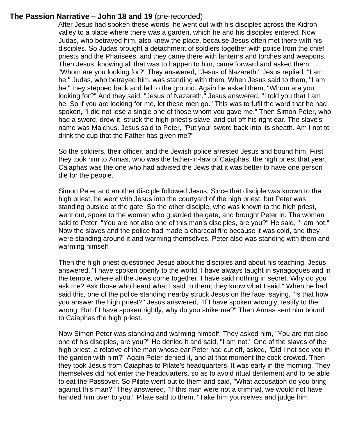#### **The Passion Narrative – John 18 and 19** (pre-recorded)

 After Jesus had spoken these words, he went out with his disciples across the Kidron valley to a place where there was a garden, which he and his disciples entered. Now Judas, who betrayed him, also knew the place, because Jesus often met there with his disciples. So Judas brought a detachment of soldiers together with police from the chief priests and the Pharisees, and they came there with lanterns and torches and weapons. Then Jesus, knowing all that was to happen to him, came forward and asked them, "Whom are you looking for?" They answered, "Jesus of Nazareth." Jesus replied, "I am he." Judas, who betrayed him, was standing with them. When Jesus said to them, "I am he," they stepped back and fell to the ground. Again he asked them, "Whom are you looking for?" And they said, "Jesus of Nazareth." Jesus answered, "I told you that I am he. So if you are looking for me, let these men go." This was to fufil the word that he had spoken, "I did not lose a single one of those whom you gave me." Then Simon Peter, who had a sword, drew it, struck the high priest's slave, and cut off his right ear. The slave's name was Malchus. Jesus said to Peter, "Put your sword back into its sheath. Am I not to drink the cup that the Father has given me?"

So the soldiers, their officer, and the Jewish police arrested Jesus and bound him. First they took him to Annas, who was the father-in-law of Caiaphas, the high priest that year. Caiaphas was the one who had advised the Jews that it was better to have one person die for the people.

Simon Peter and another disciple followed Jesus. Since that disciple was known to the high priest, he went with Jesus into the courtyard of the high priest, but Peter was standing outside at the gate. So the other disciple, who was known to the high priest, went out, spoke to the woman who guarded the gate, and brought Peter in. The woman said to Peter, "You are not also one of this man's disciples, are you?" He said, "I am not." Now the slaves and the police had made a charcoal fire because it was cold, and they were standing around it and warming themselves. Peter also was standing with them and warming himself.

Then the high priest questioned Jesus about his disciples and about his teaching. Jesus answered, "I have spoken openly to the world; I have always taught in synagogues and in the temple, where all the Jews come together. I have said nothing in secret. Why do you ask me? Ask those who heard what I said to them; they know what I said." When he had said this, one of the police standing nearby struck Jesus on the face, saying, "Is that how you answer the high priest?" Jesus answered, "If I have spoken wrongly, testify to the wrong. But if I have spoken rightly, why do you strike me?" Then Annas sent him bound to Caiaphas the high priest.

Now Simon Peter was standing and warming himself. They asked him, "You are not also one of his disciples, are you?" He denied it and said, "I am not." One of the slaves of the high priest, a relative of the man whose ear Peter had cut off, asked, "Did I not see you in the garden with him?" Again Peter denied it, and at that moment the cock crowed. Then they took Jesus from Caiaphas to Pilate's headquarters. It was early in the morning. They themselves did not enter the headquarters, so as to avoid ritual defilement and to be able to eat the Passover. So Pilate went out to them and said, "What accusation do you bring against this man?" They answered, "If this man were not a criminal, we would not have handed him over to you." Pilate said to them, "Take him yourselves and judge him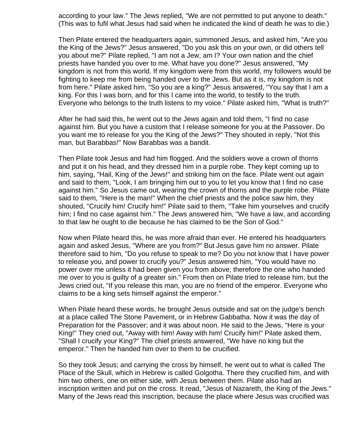according to your law." The Jews replied, "We are not permitted to put anyone to death." (This was to fufil what Jesus had said when he indicated the kind of death he was to die.)

Then Pilate entered the headquarters again, summoned Jesus, and asked him, "Are you the King of the Jews?" Jesus answered, "Do you ask this on your own, or did others tell you about me?" Pilate replied, "I am not a Jew, am I? Your own nation and the chief priests have handed you over to me. What have you done?" Jesus answered, "My kingdom is not from this world. If my kingdom were from this world, my followers would be fighting to keep me from being handed over to the Jews. But as it is, my kingdom is not from here." Pilate asked him, "So you are a king?" Jesus answered, "You say that I am a king. For this I was born, and for this I came into the world, to testify to the truth. Everyone who belongs to the truth listens to my voice." Pilate asked him, "What is truth?"

After he had said this, he went out to the Jews again and told them, "I find no case against him. But you have a custom that I release someone for you at the Passover. Do you want me to release for you the King of the Jews?" They shouted in reply, "Not this man, but Barabbas!" Now Barabbas was a bandit.

Then Pilate took Jesus and had him flogged. And the soldiers wove a crown of thorns and put it on his head, and they dressed him in a purple robe. They kept coming up to him, saying, "Hail, King of the Jews!" and striking him on the face. Pilate went out again and said to them, "Look, I am bringing him out to you to let you know that I find no case against him." So Jesus came out, wearing the crown of thorns and the purple robe. Pilate said to them, "Here is the man!" When the chief priests and the police saw him, they shouted, "Crucify him! Crucify him!" Pilate said to them, "Take him yourselves and crucify him; I find no case against him." The Jews answered him, "We have a law, and according to that law he ought to die because he has claimed to be the Son of God."

Now when Pilate heard this, he was more afraid than ever. He entered his headquarters again and asked Jesus, "Where are you from?" But Jesus gave him no answer. Pilate therefore said to him, "Do you refuse to speak to me? Do you not know that I have power to release you, and power to crucify you?" Jesus answered him, "You would have no power over me unless it had been given you from above; therefore the one who handed me over to you is guilty of a greater sin." From then on Pilate tried to release him, but the Jews cried out, "If you release this man, you are no friend of the emperor. Everyone who claims to be a king sets himself against the emperor."

When Pilate heard these words, he brought Jesus outside and sat on the judge's bench at a place called The Stone Pavement, or in Hebrew Gabbatha. Now it was the day of Preparation for the Passover; and it was about noon. He said to the Jews, "Here is your King!" They cried out, "Away with him! Away with him! Crucify him!" Pilate asked them, "Shall I crucify your King?" The chief priests answered, "We have no king but the emperor." Then he handed him over to them to be crucified.

So they took Jesus; and carrying the cross by himself, he went out to what is called The Place of the Skull, which in Hebrew is called Golgotha. There they crucified him, and with him two others, one on either side, with Jesus between them. Pilate also had an inscription written and put on the cross. It read, "Jesus of Nazareth, the King of the Jews." Many of the Jews read this inscription, because the place where Jesus was crucified was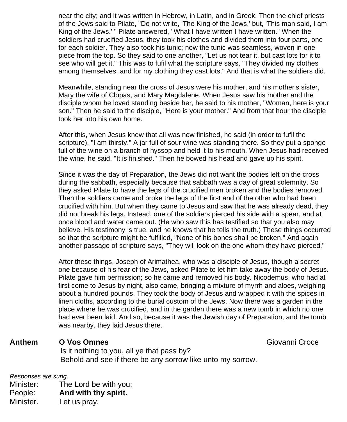near the city; and it was written in Hebrew, in Latin, and in Greek. Then the chief priests of the Jews said to Pilate, "Do not write, 'The King of the Jews,' but, 'This man said, I am King of the Jews.' " Pilate answered, "What I have written I have written." When the soldiers had crucified Jesus, they took his clothes and divided them into four parts, one for each soldier. They also took his tunic; now the tunic was seamless, woven in one piece from the top. So they said to one another, "Let us not tear it, but cast lots for it to see who will get it." This was to fufil what the scripture says, "They divided my clothes among themselves, and for my clothing they cast lots." And that is what the soldiers did.

Meanwhile, standing near the cross of Jesus were his mother, and his mother's sister, Mary the wife of Clopas, and Mary Magdalene. When Jesus saw his mother and the disciple whom he loved standing beside her, he said to his mother, "Woman, here is your son." Then he said to the disciple, "Here is your mother." And from that hour the disciple took her into his own home.

After this, when Jesus knew that all was now finished, he said (in order to fufil the scripture), "I am thirsty." A jar full of sour wine was standing there. So they put a sponge full of the wine on a branch of hyssop and held it to his mouth. When Jesus had received the wine, he said, "It is finished." Then he bowed his head and gave up his spirit.

Since it was the day of Preparation, the Jews did not want the bodies left on the cross during the sabbath, especially because that sabbath was a day of great solemnity. So they asked Pilate to have the legs of the crucified men broken and the bodies removed. Then the soldiers came and broke the legs of the first and of the other who had been crucified with him. But when they came to Jesus and saw that he was already dead, they did not break his legs. Instead, one of the soldiers pierced his side with a spear, and at once blood and water came out. (He who saw this has testified so that you also may believe. His testimony is true, and he knows that he tells the truth.) These things occurred so that the scripture might be fulfilled, "None of his bones shall be broken." And again another passage of scripture says, "They will look on the one whom they have pierced."

After these things, Joseph of Arimathea, who was a disciple of Jesus, though a secret one because of his fear of the Jews, asked Pilate to let him take away the body of Jesus. Pilate gave him permission; so he came and removed his body. Nicodemus, who had at first come to Jesus by night, also came, bringing a mixture of myrrh and aloes, weighing about a hundred pounds. They took the body of Jesus and wrapped it with the spices in linen cloths, according to the burial custom of the Jews. Now there was a garden in the place where he was crucified, and in the garden there was a new tomb in which no one had ever been laid. And so, because it was the Jewish day of Preparation, and the tomb was nearby, they laid Jesus there.

#### **Anthem O Vos Omnes** Giovanni Croce Is it nothing to you, all ye that pass by? Behold and see if there be any sorrow like unto my sorrow.

*Responses are sung.*

Minister: The Lord be with you; People: **And with thy spirit.** Minister. Let us pray.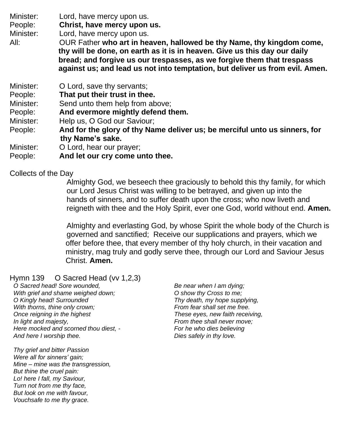Minister: Lord, have mercy upon us.

People: **Christ, have mercy upon us.**

Minister: Lord, have mercy upon us.

- All: OUR Father **who art in heaven, hallowed be thy Name, thy kingdom come, thy will be done, on earth as it is in heaven. Give us this day our daily bread; and forgive us our trespasses, as we forgive them that trespass against us; and lead us not into temptation, but deliver us from evil. Amen.**
- Minister: **O Lord, save thy servants;**
- People: **That put their trust in thee.**
- Minister: Send unto them help from above;
- People: **And evermore mightly defend them.**
- Minister: Help us, O God our Saviour;
- People: **And for the glory of thy Name deliver us; be merciful unto us sinners, for thy Name's sake.**
- Minister: O Lord, hear our prayer;
- People: **And let our cry come unto thee.**

Collects of the Day

 Almighty God, we beseech thee graciously to behold this thy family, for which our Lord Jesus Christ was willing to be betrayed, and given up into the hands of sinners, and to suffer death upon the cross; who now liveth and reigneth with thee and the Holy Spirit, ever one God, world without end. **Amen.**

 Almighty and everlasting God, by whose Spirit the whole body of the Church is governed and sanctified; Receive our supplications and prayers, which we offer before thee, that every member of thy holy church, in their vacation and ministry, mag truly and godly serve thee, through our Lord and Saviour Jesus Christ. **Amen.**

Hymn 139 O Sacred Head (vv 1,2,3)

*O Sacred head! Sore wounded, With grief and shame weighed down; O Kingly head! Surrounded With thorns, thine only crown; Once reigning in the highest In light and majesty, Here mocked and scorned thou diest, - And here I worship thee.*

*Thy grief and bitter Passion Were all for sinners' gain; Mine – mine was the transgression, But thine the cruel pain: Lo! here I fall, my Saviour, Turn not from me thy face, But look on me with favour, Vouchsafe to me thy grace.*

*Be near when I am dying; O show thy Cross to me; Thy death, my hope supplying, From fear shall set me free. These eyes, new faith receiving, From thee shall never move; For he who dies believing Dies safely in thy love.*